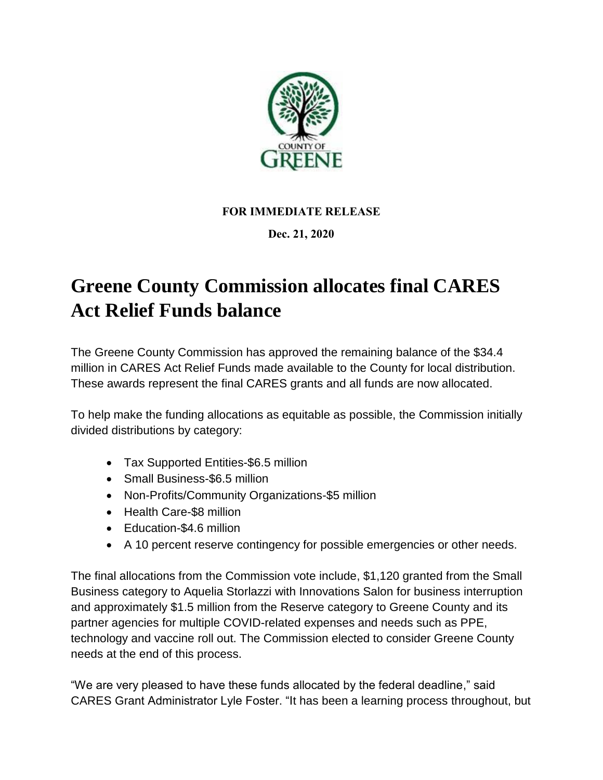

## **FOR IMMEDIATE RELEASE**

## **Dec. 21, 2020**

## **Greene County Commission allocates final CARES Act Relief Funds balance**

The Greene County Commission has approved the remaining balance of the \$34.4 million in CARES Act Relief Funds made available to the County for local distribution. These awards represent the final CARES grants and all funds are now allocated.

To help make the funding allocations as equitable as possible, the Commission initially divided distributions by category:

- Tax Supported Entities-\$6.5 million
- Small Business-\$6.5 million
- Non-Profits/Community Organizations-\$5 million
- Health Care-\$8 million
- Education-\$4.6 million
- A 10 percent reserve contingency for possible emergencies or other needs.

The final allocations from the Commission vote include, \$1,120 granted from the Small Business category to Aquelia Storlazzi with Innovations Salon for business interruption and approximately \$1.5 million from the Reserve category to Greene County and its partner agencies for multiple COVID-related expenses and needs such as PPE, technology and vaccine roll out. The Commission elected to consider Greene County needs at the end of this process.

"We are very pleased to have these funds allocated by the federal deadline," said CARES Grant Administrator Lyle Foster. "It has been a learning process throughout, but